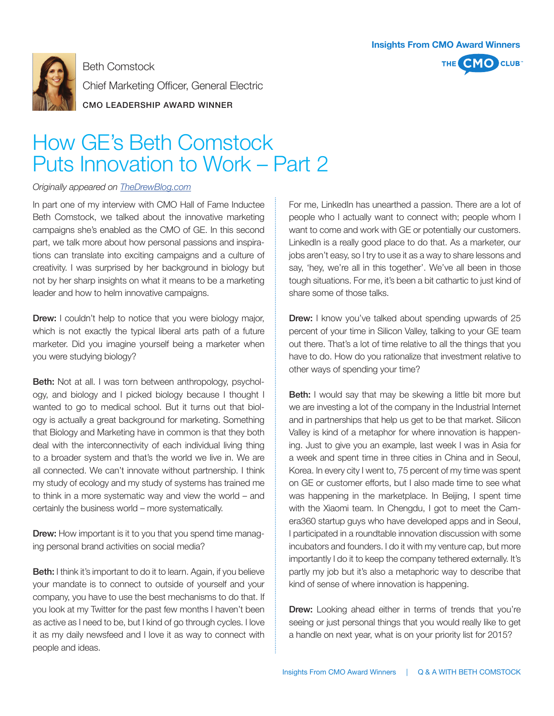

Beth Comstock Chief Marketing Officer, General Electric CMO LEADERSHIP AWARD WINNER

## How GE's Beth Comstock Puts Innovation to Work – Part 2

## *Originally appeared on TheDrewBlog.com*

In part one of my interview with CMO Hall of Fame Inductee Beth Comstock, we talked about the innovative marketing campaigns she's enabled as the CMO of GE. In this second part, we talk more about how personal passions and inspirations can translate into exciting campaigns and a culture of creativity. I was surprised by her background in biology but not by her sharp insights on what it means to be a marketing leader and how to helm innovative campaigns.

**Drew:** I couldn't help to notice that you were biology major, which is not exactly the typical liberal arts path of a future marketer. Did you imagine yourself being a marketer when you were studying biology?

Beth: Not at all. I was torn between anthropology, psychology, and biology and I picked biology because I thought I wanted to go to medical school. But it turns out that biology is actually a great background for marketing. Something that Biology and Marketing have in common is that they both deal with the interconnectivity of each individual living thing to a broader system and that's the world we live in. We are all connected. We can't innovate without partnership. I think my study of ecology and my study of systems has trained me to think in a more systematic way and view the world – and certainly the business world – more systematically.

**Drew:** How important is it to you that you spend time managing personal brand activities on social media?

Beth: I think it's important to do it to learn. Again, if you believe your mandate is to connect to outside of yourself and your company, you have to use the best mechanisms to do that. If you look at my Twitter for the past few months I haven't been as active as I need to be, but I kind of go through cycles. I love it as my daily newsfeed and I love it as way to connect with people and ideas.

For me, LinkedIn has unearthed a passion. There are a lot of people who I actually want to connect with; people whom I want to come and work with GE or potentially our customers. LinkedIn is a really good place to do that. As a marketer, our jobs aren't easy, so I try to use it as a way to share lessons and say, 'hey, we're all in this together'. We've all been in those tough situations. For me, it's been a bit cathartic to just kind of share some of those talks.

**Insights From CMO Award Winners**

THE **I** 

**CMO** CLUB

**Drew:** I know you've talked about spending upwards of 25 percent of your time in Silicon Valley, talking to your GE team out there. That's a lot of time relative to all the things that you have to do. How do you rationalize that investment relative to other ways of spending your time?

**Beth:** I would say that may be skewing a little bit more but we are investing a lot of the company in the Industrial Internet and in partnerships that help us get to be that market. Silicon Valley is kind of a metaphor for where innovation is happening. Just to give you an example, last week I was in Asia for a week and spent time in three cities in China and in Seoul, Korea. In every city I went to, 75 percent of my time was spent on GE or customer efforts, but I also made time to see what was happening in the marketplace. In Beijing, I spent time with the Xiaomi team. In Chengdu, I got to meet the Camera360 startup guys who have developed apps and in Seoul, I participated in a roundtable innovation discussion with some incubators and founders. I do it with my venture cap, but more importantly I do it to keep the company tethered externally. It's partly my job but it's also a metaphoric way to describe that kind of sense of where innovation is happening.

**Drew:** Looking ahead either in terms of trends that you're seeing or just personal things that you would really like to get a handle on next year, what is on your priority list for 2015?